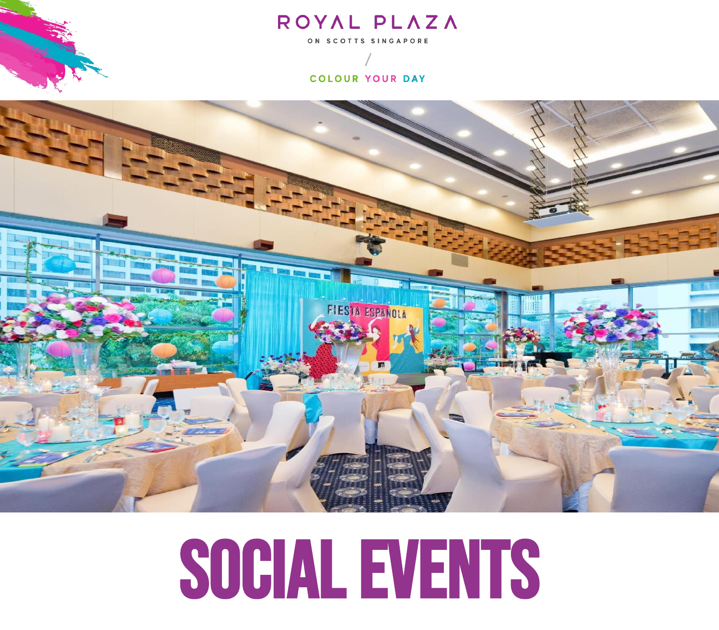### ROYAL PLAZA

ON SCOTTS SINGAPORE

#### COLOUR YOUR DAY



## SOCIAL EVENTS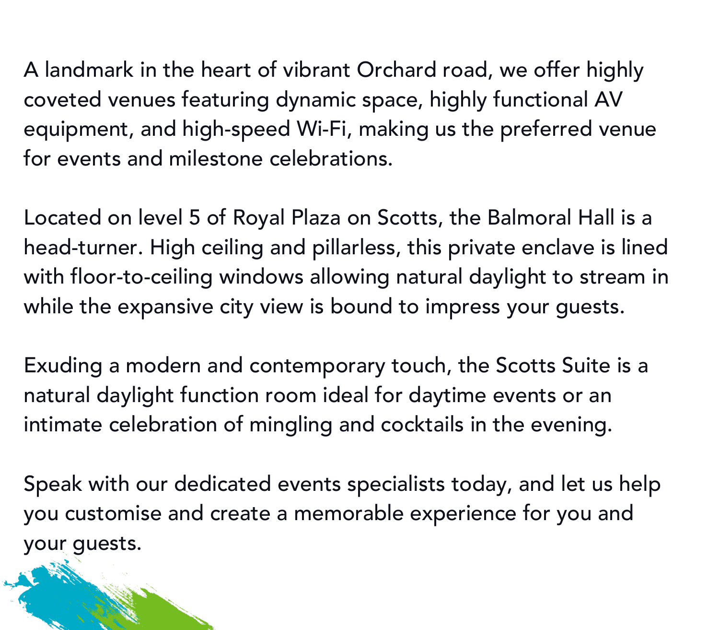A landmark in the heart of vibrant Orchard road, we offer highly coveted venues featuring dynamic space, highly functional AV equipment, and high-speed Wi-Fi, making us the preferred venue for events and milestone celebrations.

Located on level 5 of Royal Plaza on Scotts, the Balmoral Hall is a head-turner. High ceiling and pillarless, this private enclave is lined with floor-to-ceiling windows allowing natural daylight to stream in while the expansive city view is bound to impress your guests.

Exuding a modern and contemporary touch, the Scotts Suite is a natural daylight function room ideal for daytime events or an intimate celebration of mingling and cocktails in the evening.

Speak with our dedicated events specialists today, and let us help you customise and create a memorable experience for you and your guests.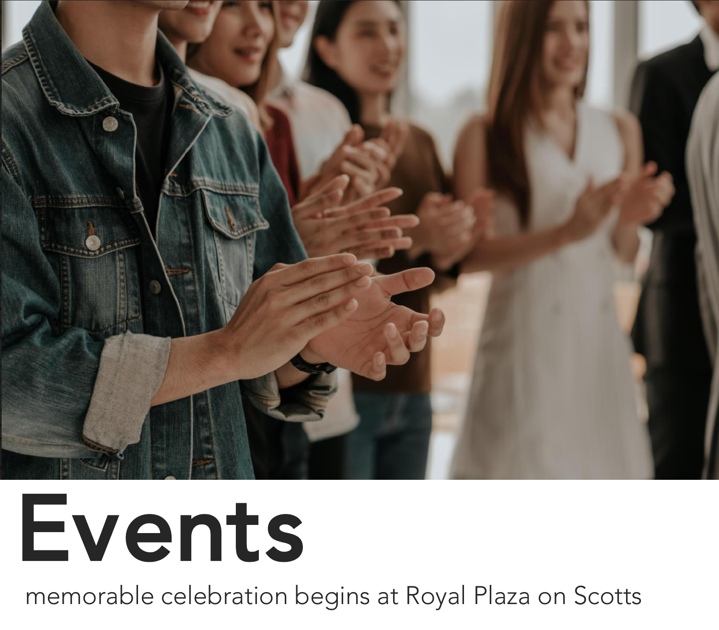

# Events

memorable celebration begins at Royal Plaza on Scotts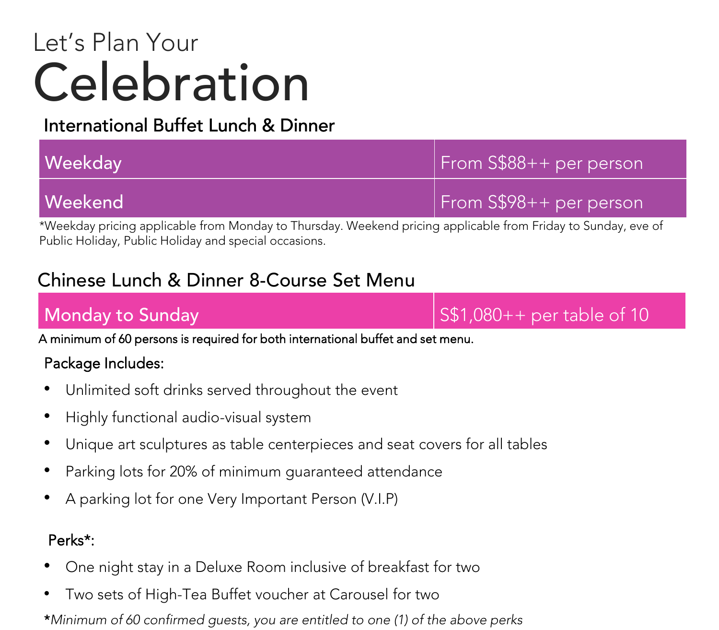### Celebration Let's Plan Your

### International Buffet Lunch & Dinner & Dinner

| <b>Weekday</b> | From S\$88++ per person |
|----------------|-------------------------|
| <b>Weekend</b> | From S\$98++ per person |

\*Weekday pricing applicable from Monday to Thursday. Weekend pricing applicable from Friday to Sunday, eve of Public Holiday, Public Holiday and special occasions.

### Chinese Lunch & Dinner 8-Course Set Menu

Monday to Sunday Same Sunday State Sunday State Sunday State Sunday State State State of 10

A minimum of 60 persons is required for both international buffet and set menu.

#### Package Includes:

- Unlimited soft drinks served throughout the event
- Highly functional audio-visual system
- Unique art sculptures as table centerpieces and seat covers for all tables
- Parking lots for 20% of minimum guaranteed attendance
- A parking lot for one Very Important Person (V.I.P)

#### Perks\*:

- One night stay in a Deluxe Room inclusive of breakfast for two
- Two sets of High-Tea Buffet voucher at Carousel for two

\**Minimum of 60 confirmed guests, you are entitled to one (1) of the above perks*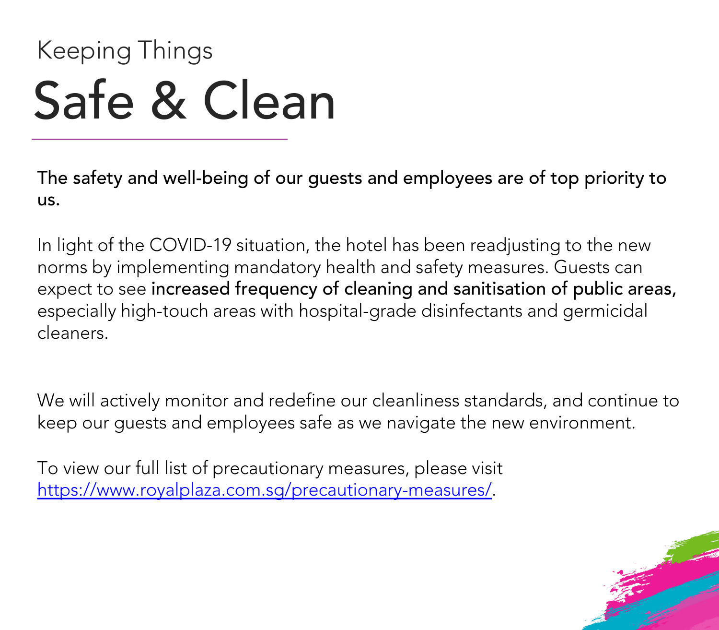## Safe & Clean Keeping Things

The safety and well-being of our guests and employees are of top priority to us.

In light of the COVID-19 situation, the hotel has been readjusting to the new norms by implementing mandatory health and safety measures. Guests can expect to see increased frequency of cleaning and sanitisation of public areas, especially high-touch areas with hospital-grade disinfectants and germicidal cleaners.

We will actively monitor and redefine our cleanliness standards, and continue to keep our guests and employees safe as we navigate the new environment.

To view our full list of precautionary measures, please visit [https://www.royalplaza.com.sg/precautionary-measures/.](https://www.royalplaza.com.sg/precautionary-measures/)